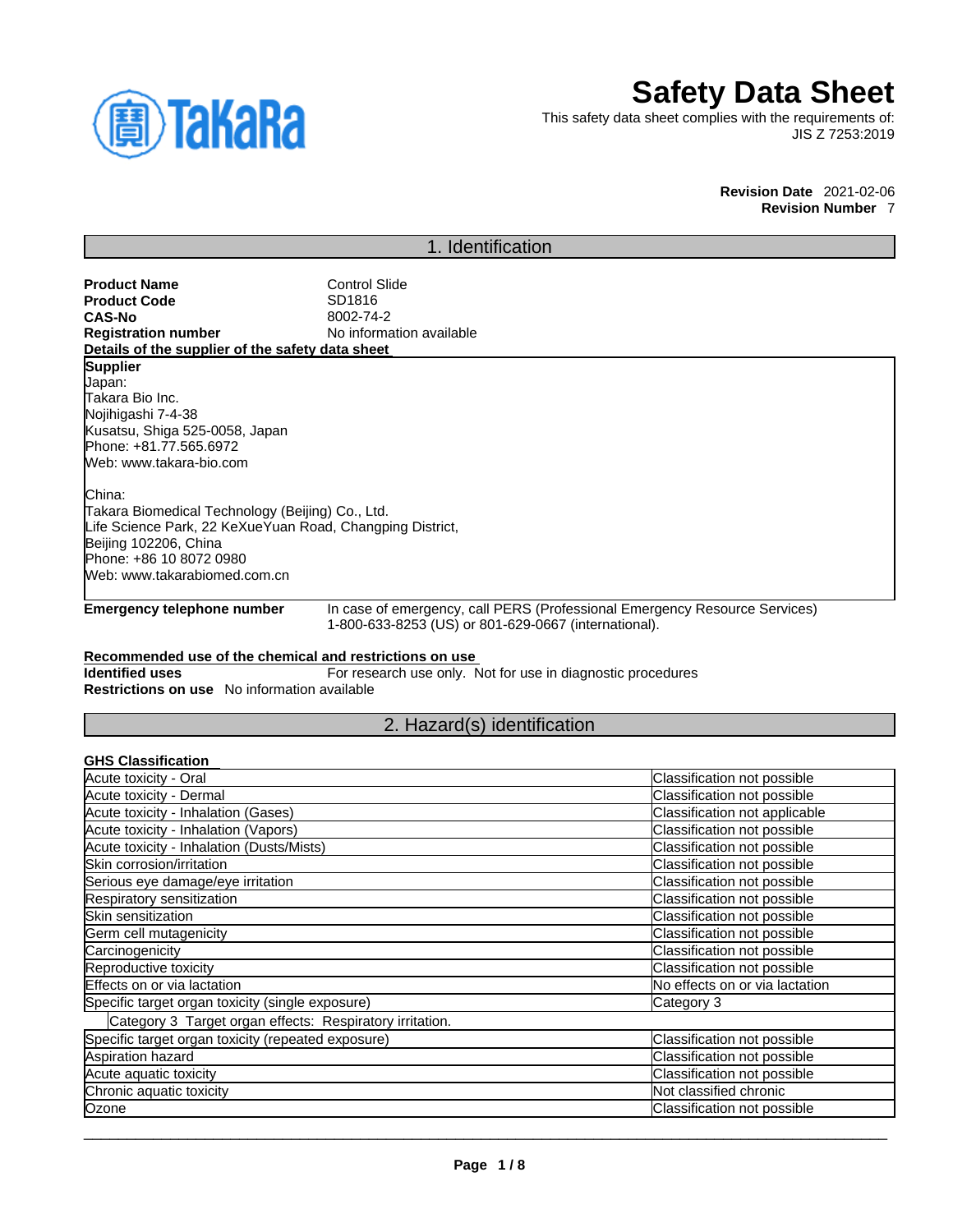

# **Safety Data Sheet**

This safety data sheet complies with the requirements of: JIS Z 7253:2019

#### **Revision Date** 2021-02-06 **Revision Number** 7

# 1. Identification **Product Name**<br> **Product Code**<br> **Product Code**<br> **CODE Product Code**<br>CAS-No **CAS-No** 8002-74-2<br> **Registration number** No informa **No information available Details of the supplier of the safety data sheet Emergency telephone number** In case of emergency, call PERS (Professional Emergency Resource Services) 1-800-633-8253 (US) or 801-629-0667 (international). **Recommended use of the chemical and restrictions on use Identified uses** For research use only. Not for use in diagnostic procedures **Restrictions on use** No information available **Supplier** Japan: Takara Bio Inc. Nojihigashi 7-4-38 Kusatsu, Shiga 525-0058, Japan Phone: +81.77.565.6972 Web: www.takara-bio.com China: Takara Biomedical Technology (Beijing) Co., Ltd. Life Science Park, 22 KeXueYuan Road, Changping District, Beijing 102206, China Phone: +86 10 8072 0980 Web: www.takarabiomed.com.cn

# 2. Hazard(s) identification

# **GHS Classification**

| Acute toxicity - Oral                                    | Classification not possible    |
|----------------------------------------------------------|--------------------------------|
| Acute toxicity - Dermal                                  | Classification not possible    |
| Acute toxicity - Inhalation (Gases)                      | Classification not applicable  |
| Acute toxicity - Inhalation (Vapors)                     | Classification not possible    |
| Acute toxicity - Inhalation (Dusts/Mists)                | Classification not possible    |
| Skin corrosion/irritation                                | Classification not possible    |
| Serious eye damage/eye irritation                        | Classification not possible    |
| Respiratory sensitization                                | Classification not possible    |
| Skin sensitization                                       | Classification not possible    |
| Germ cell mutagenicity                                   | Classification not possible    |
| Carcinogenicity                                          | Classification not possible    |
| Reproductive toxicity                                    | Classification not possible    |
| Effects on or via lactation                              | No effects on or via lactation |
| Specific target organ toxicity (single exposure)         | Category 3                     |
| Category 3 Target organ effects: Respiratory irritation. |                                |
| Specific target organ toxicity (repeated exposure)       | Classification not possible    |
| Aspiration hazard                                        | Classification not possible    |
| Acute aquatic toxicity                                   | Classification not possible    |
| Chronic aquatic toxicity                                 | Not classified chronic         |
| Ozone                                                    | Classification not possible    |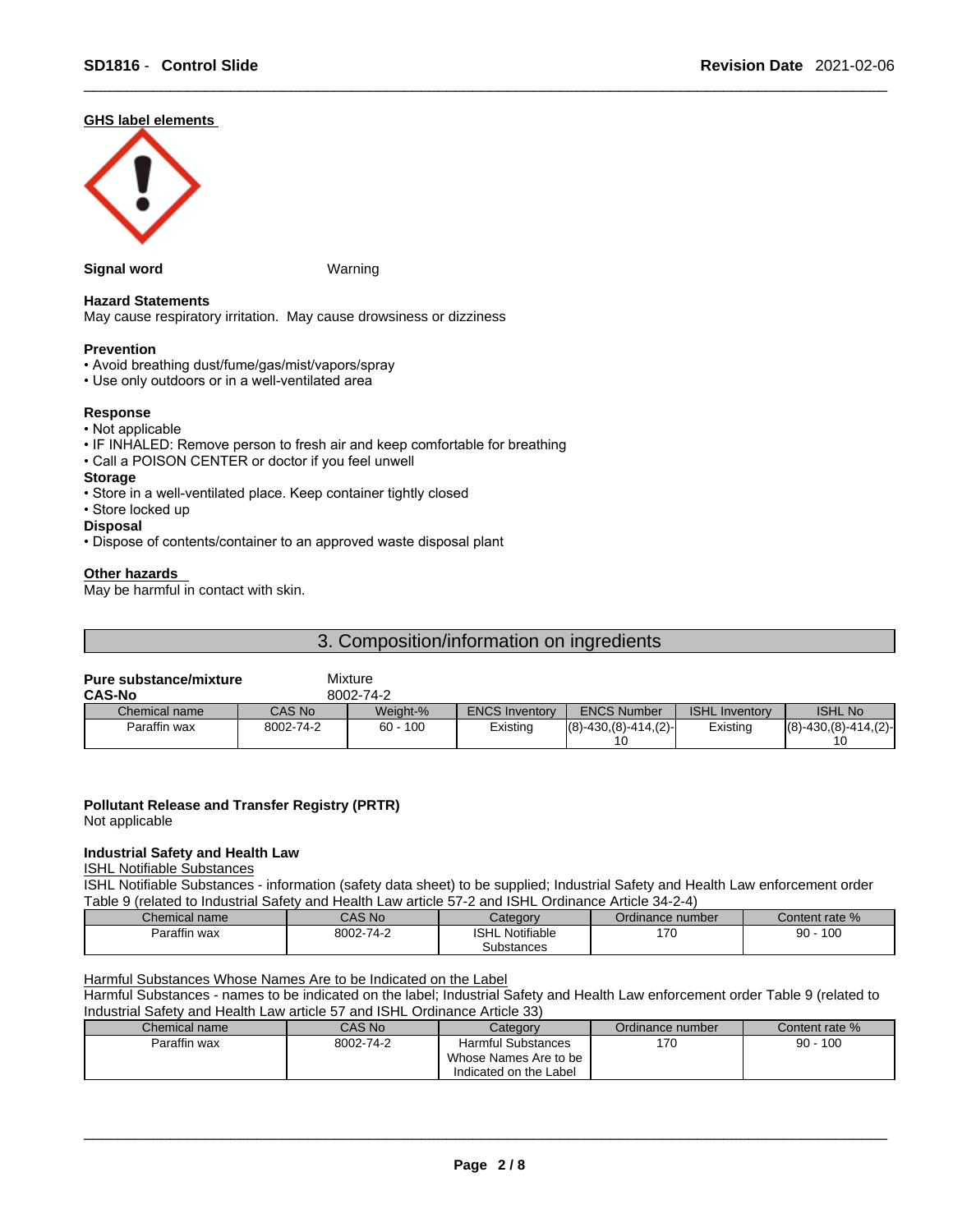### **GHS label elements**



### **Signal word** Warning

**Hazard Statements** 

# **Prevention**

- Avoid breathing dust/fume/gas/mist/vapors/spray
- Use only outdoors or in a well-ventilated area

#### **Response**

#### • Not applicable

- IF INHALED: Remove person to fresh air and keep comfortable for breathing
- Call a POISON CENTER or doctor if you feel unwell

#### **Storage**

- Store in a well-ventilated place. Keep container tightly closed
- Store locked up

#### **Disposal**

• Dispose of contents/container to an approved waste disposal plant

May cause respiratory irritation. May cause drowsiness or dizziness

#### **Other hazards**

May be harmful in contact with skin.

## 3. Composition/information on ingredients

# **Pure substance/mixture** Mixture

| <b>CAS-No</b> |           | 8002-74-2  |                       |                          |                       |                      |
|---------------|-----------|------------|-----------------------|--------------------------|-----------------------|----------------------|
| Chemical name | CAS No    | Weight-%   | <b>ENCS Inventory</b> | <b>ENCS Number</b>       | <b>ISHL Inventory</b> | <b>ISHL No</b>       |
| Paraffin wax  | 8002-74-2 | $60 - 100$ | Existing              | $ (8)-430,(8)-414,(2)- $ | Existing              | $(8)-430(8)-414(2)-$ |
|               |           |            |                       |                          |                       |                      |

#### **Pollutant Release and Transfer Registry (PRTR)**

Not applicable

#### **Industrial Safety and Health Law**

ISHL Notifiable Substances

ISHL Notifiable Substances - information (safety data sheet) to be supplied; Industrial Safety and Health Law enforcement order Table 9 (related to Industrial Safety and Health Law article 57-2 and ISHL Ordinance Article 34-2-4)

| Chemical name | CAS No    | ateαorν                | Ordinance number | Content rate % |
|---------------|-----------|------------------------|------------------|----------------|
|               | 8002-74-2 | <b>ISHL Notifiable</b> | 170              | 100            |
| Paraffin wax  |           | Substances             | 1 U              | 90             |

Harmful Substances Whose Names Are to be Indicated on the Label

Harmful Substances - names to be indicated on the label; Industrial Safety and Health Law enforcement order Table 9 (related to Industrial Safety and Health Law article 57 and ISHL Ordinance Article 33)

| Chemical name | CAS No    | Category               | Ordinance number | Content rate % |
|---------------|-----------|------------------------|------------------|----------------|
| Paraffin wax  | 8002-74-2 | Harmful Substances     | 170              | $90 - 100$     |
|               |           | Whose Names Are to be  |                  |                |
|               |           | Indicated on the Label |                  |                |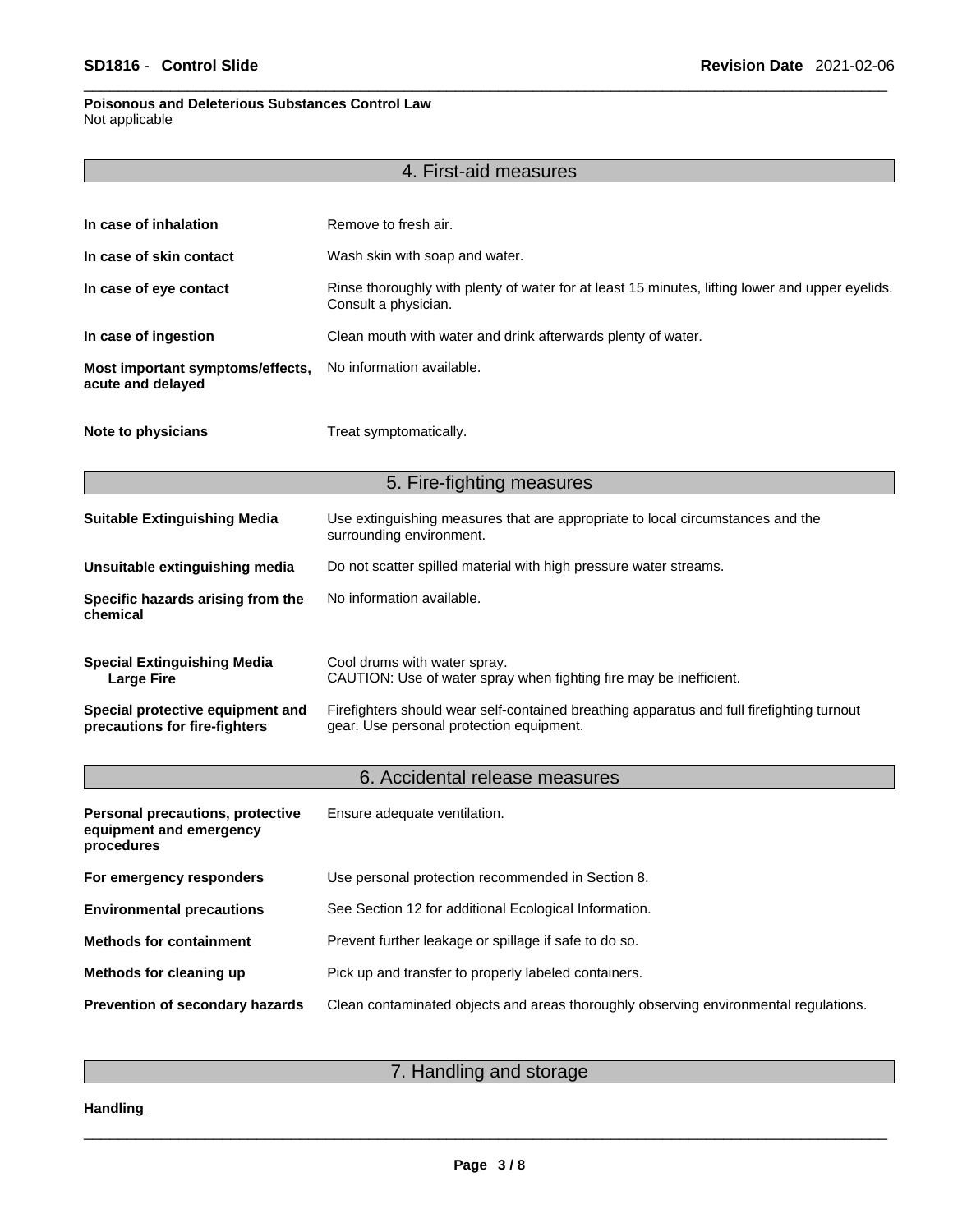### **Poisonous and Deleterious Substances Control Law** Not applicable

|                                                                           | 4. First-aid measures                                                                                                                 |  |
|---------------------------------------------------------------------------|---------------------------------------------------------------------------------------------------------------------------------------|--|
|                                                                           |                                                                                                                                       |  |
| In case of inhalation                                                     | Remove to fresh air.                                                                                                                  |  |
| In case of skin contact                                                   | Wash skin with soap and water.                                                                                                        |  |
| In case of eye contact                                                    | Rinse thoroughly with plenty of water for at least 15 minutes, lifting lower and upper eyelids.<br>Consult a physician.               |  |
| In case of ingestion                                                      | Clean mouth with water and drink afterwards plenty of water.                                                                          |  |
| Most important symptoms/effects,<br>acute and delayed                     | No information available.                                                                                                             |  |
| Note to physicians                                                        | Treat symptomatically.                                                                                                                |  |
|                                                                           | 5. Fire-fighting measures                                                                                                             |  |
| <b>Suitable Extinguishing Media</b>                                       | Use extinguishing measures that are appropriate to local circumstances and the<br>surrounding environment.                            |  |
| Unsuitable extinguishing media                                            | Do not scatter spilled material with high pressure water streams.                                                                     |  |
| Specific hazards arising from the<br>chemical                             | No information available.                                                                                                             |  |
| <b>Special Extinguishing Media</b><br><b>Large Fire</b>                   | Cool drums with water spray.<br>CAUTION: Use of water spray when fighting fire may be inefficient.                                    |  |
| Special protective equipment and<br>precautions for fire-fighters         | Firefighters should wear self-contained breathing apparatus and full firefighting turnout<br>gear. Use personal protection equipment. |  |
|                                                                           | 6. Accidental release measures                                                                                                        |  |
| Personal precautions, protective<br>equipment and emergency<br>procedures | Ensure adequate ventilation.                                                                                                          |  |
| For emergency responders                                                  | Use personal protection recommended in Section 8.                                                                                     |  |
| <b>Environmental precautions</b>                                          | See Section 12 for additional Ecological Information.                                                                                 |  |
| <b>Methods for containment</b>                                            | Prevent further leakage or spillage if safe to do so.                                                                                 |  |
| Methods for cleaning up                                                   | Pick up and transfer to properly labeled containers.                                                                                  |  |
|                                                                           |                                                                                                                                       |  |

**Prevention of secondary hazards** Clean contaminated objects and areas thoroughly observing environmental regulations.

7. Handling and storage

# **Handling**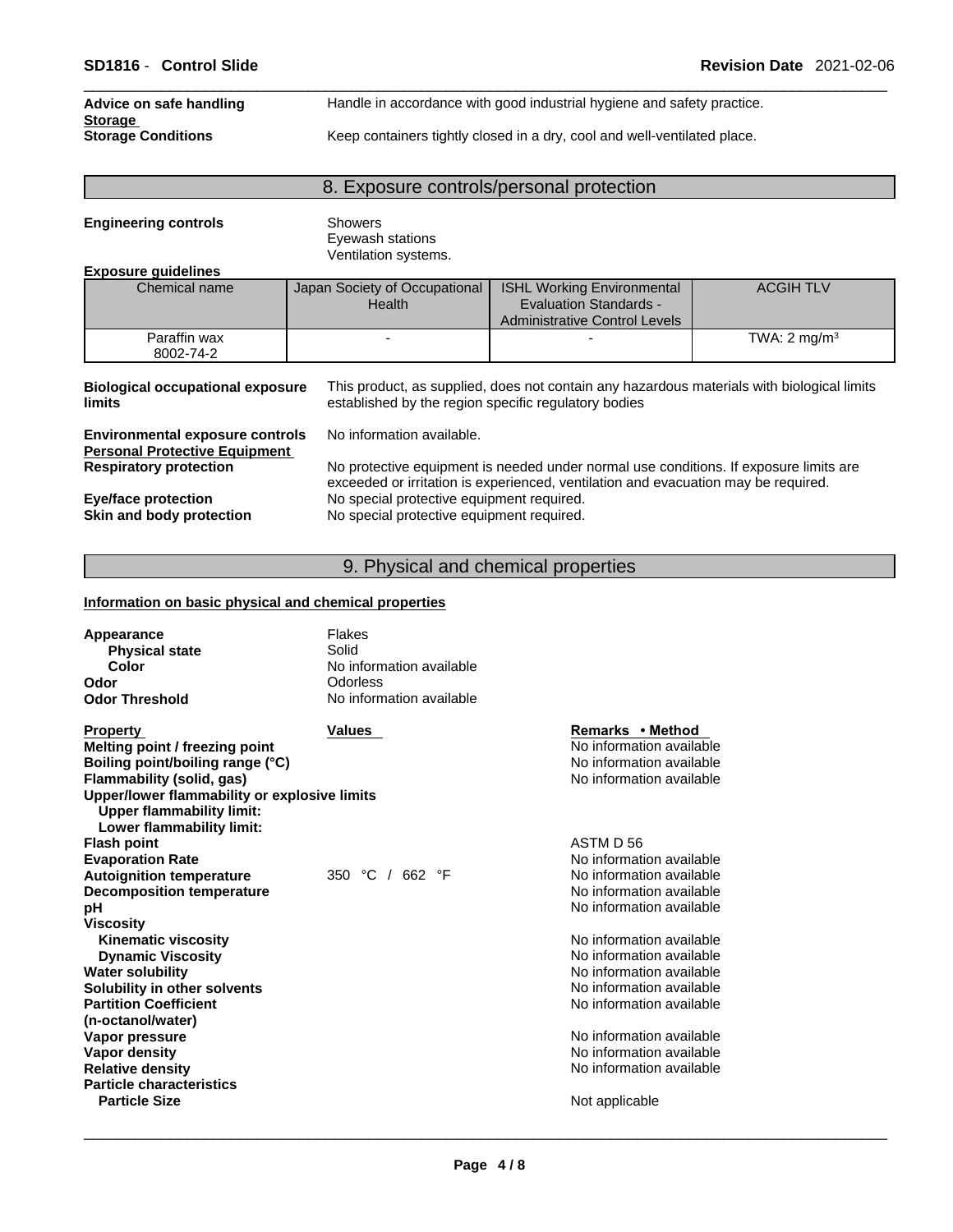| Advice on safe handling                     | Handle in accordance with good industrial hygiene and safety practice.   |
|---------------------------------------------|--------------------------------------------------------------------------|
| <b>Storage</b><br><b>Storage Conditions</b> | Keep containers tightly closed in a dry, cool and well-ventilated place. |

### 8. Exposure controls/personal protection

**Engineering controls** Showers Eyewash stations Ventilation systems.

#### **Exposure guidelines**

| Chemical name             | Japan Society of Occupational<br>Health | <b>ISHL Working Environmental</b><br><b>Evaluation Standards -</b><br>Administrative Control Levels | <b>ACGIH TLV</b>        |
|---------------------------|-----------------------------------------|-----------------------------------------------------------------------------------------------------|-------------------------|
| Paraffin wax<br>8002-74-2 |                                         |                                                                                                     | TWA: $2 \text{ mg/m}^3$ |

**Biological occupational exposure limits**

This product, as supplied, does not contain any hazardous materials with biological limits established by the region specific regulatory bodies

**Environmental exposure controls** No information available. **Personal Protective Equipment**

**Eye/face protection** No special protective equipment required.<br> **Skin and body protection** No special protective equipment required.

**Respiratory protection** No protective equipment is needed under normal use conditions. If exposure limits are exceeded or irritation is experienced, ventilation and evacuation may be required.

**Skin and body protection** No special protective equipment required.

# 9. Physical and chemical properties

#### **Information on basic physical and chemical properties**

| <b>Flakes</b><br>Appearance<br>Solid<br><b>Physical state</b><br>Color<br>No information available<br>Odor<br>Odorless<br><b>Odor Threshold</b><br>No information available                                                          |  |
|--------------------------------------------------------------------------------------------------------------------------------------------------------------------------------------------------------------------------------------|--|
| Remarks • Method<br><b>Property</b><br>Values<br>No information available<br>Melting point / freezing point<br>Boiling point/boiling range (°C)<br>No information available<br>No information available<br>Flammability (solid, gas) |  |
| Upper/lower flammability or explosive limits<br><b>Upper flammability limit:</b><br>Lower flammability limit:                                                                                                                        |  |
| <b>Flash point</b><br>ASTM D 56                                                                                                                                                                                                      |  |
| No information available<br><b>Evaporation Rate</b>                                                                                                                                                                                  |  |
| 350 °C / 662 °F<br>No information available<br><b>Autoignition temperature</b>                                                                                                                                                       |  |
| No information available<br><b>Decomposition temperature</b>                                                                                                                                                                         |  |
| No information available<br>pН                                                                                                                                                                                                       |  |
| <b>Viscosity</b>                                                                                                                                                                                                                     |  |
| No information available<br><b>Kinematic viscosity</b>                                                                                                                                                                               |  |
| No information available<br><b>Dynamic Viscosity</b>                                                                                                                                                                                 |  |
| No information available<br><b>Water solubility</b>                                                                                                                                                                                  |  |
| No information available<br>Solubility in other solvents                                                                                                                                                                             |  |
| <b>Partition Coefficient</b><br>No information available                                                                                                                                                                             |  |
| (n-octanol/water)                                                                                                                                                                                                                    |  |
| No information available<br>Vapor pressure                                                                                                                                                                                           |  |
| No information available<br><b>Vapor density</b>                                                                                                                                                                                     |  |
| <b>Relative density</b><br>No information available                                                                                                                                                                                  |  |
| <b>Particle characteristics</b>                                                                                                                                                                                                      |  |
| <b>Particle Size</b><br>Not applicable                                                                                                                                                                                               |  |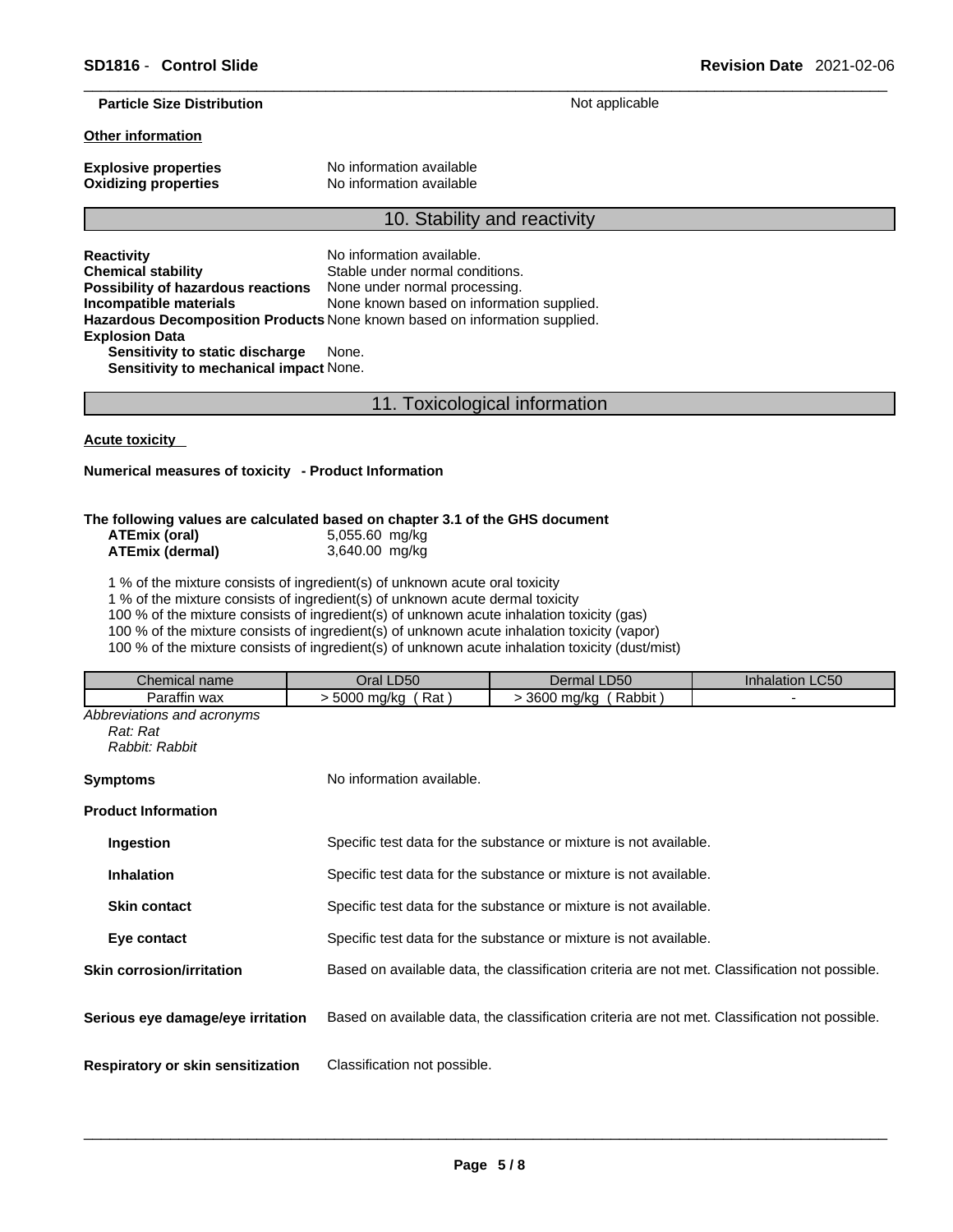#### **Particle Size Distribution** Not applicable

#### **Other information**

**Explosive properties** No information available **Oxidizing properties** No information available

#### 10. Stability and reactivity

**Reactivity No information available. Chemical stability** Stable under normal conditions. **Possibility of hazardous reactions** None under normal processing. **Incompatible materials** None known based on information supplied. **Hazardous Decomposition Products** None known based on information supplied. **Explosion Data Sensitivity to static discharge** None.

**Sensitivity to mechanical impact** None.

# 11. Toxicological information

**Acute toxicity** 

#### **Numerical measures of toxicity - Product Information**

#### **The following values are calculated based on chapter 3.1 of the GHS document**

| ATEmix (oral)   | 5,055.60 mg/kg |
|-----------------|----------------|
| ATEmix (dermal) | 3,640.00 mg/kg |

1 % of the mixture consists of ingredient(s) of unknown acute oral toxicity

1 % of the mixture consists of ingredient(s) of unknown acute dermal toxicity

100 % of the mixture consists of ingredient(s) of unknown acute inhalation toxicity (gas)

100 % of the mixture consists of ingredient(s) of unknown acute inhalation toxicity (vapor)

100 % of the mixture consists of ingredient(s) of unknown acute inhalation toxicity (dust/mist)

| Chemical name                                            | Oral LD50                    | Dermal LD50                                                                                    | Inhalation LC50 |  |
|----------------------------------------------------------|------------------------------|------------------------------------------------------------------------------------------------|-----------------|--|
| Paraffin wax                                             | $>$ 5000 mg/kg (Rat)         | > 3600 mg/kg (Rabbit)                                                                          |                 |  |
| Abbreviations and acronyms<br>Rat: Rat<br>Rabbit: Rabbit |                              |                                                                                                |                 |  |
| <b>Symptoms</b>                                          | No information available.    |                                                                                                |                 |  |
| <b>Product Information</b>                               |                              |                                                                                                |                 |  |
| Ingestion                                                |                              | Specific test data for the substance or mixture is not available.                              |                 |  |
| <b>Inhalation</b>                                        |                              | Specific test data for the substance or mixture is not available.                              |                 |  |
| <b>Skin contact</b>                                      |                              | Specific test data for the substance or mixture is not available.                              |                 |  |
| Eye contact                                              |                              | Specific test data for the substance or mixture is not available.                              |                 |  |
| <b>Skin corrosion/irritation</b>                         |                              | Based on available data, the classification criteria are not met. Classification not possible. |                 |  |
| Serious eye damage/eye irritation                        |                              | Based on available data, the classification criteria are not met. Classification not possible. |                 |  |
| Respiratory or skin sensitization                        | Classification not possible. |                                                                                                |                 |  |
|                                                          |                              |                                                                                                |                 |  |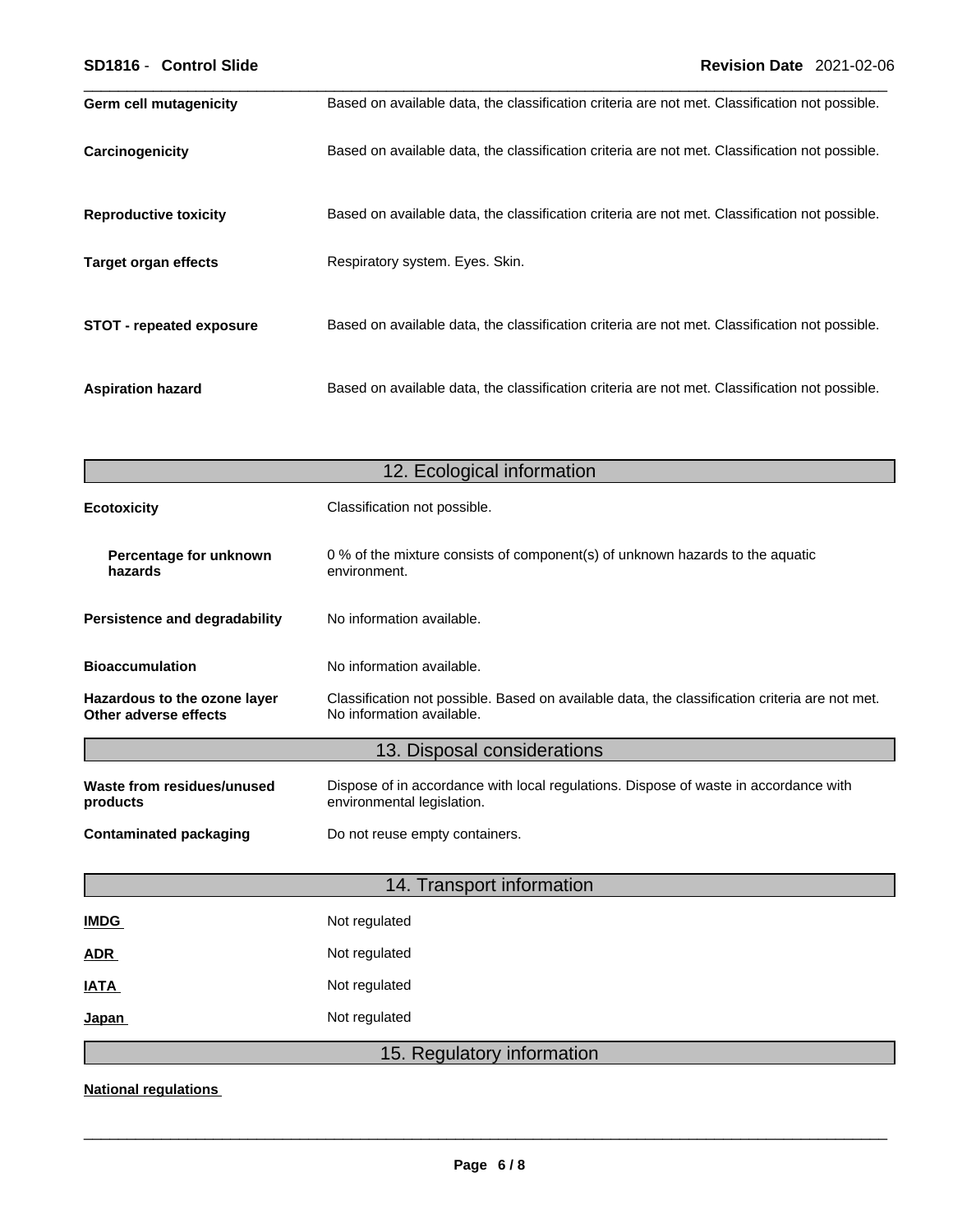| <b>Germ cell mutagenicity</b>   | Based on available data, the classification criteria are not met. Classification not possible. |
|---------------------------------|------------------------------------------------------------------------------------------------|
| Carcinogenicity                 | Based on available data, the classification criteria are not met. Classification not possible. |
| <b>Reproductive toxicity</b>    | Based on available data, the classification criteria are not met. Classification not possible. |
| Target organ effects            | Respiratory system. Eyes. Skin.                                                                |
| <b>STOT - repeated exposure</b> | Based on available data, the classification criteria are not met. Classification not possible. |
| <b>Aspiration hazard</b>        | Based on available data, the classification criteria are not met. Classification not possible. |

|                                                       | 12. Ecological information                                                                                                  |
|-------------------------------------------------------|-----------------------------------------------------------------------------------------------------------------------------|
| <b>Ecotoxicity</b>                                    | Classification not possible.                                                                                                |
| Percentage for unknown<br>hazards                     | 0 % of the mixture consists of component(s) of unknown hazards to the aquatic<br>environment.                               |
| <b>Persistence and degradability</b>                  | No information available.                                                                                                   |
| <b>Bioaccumulation</b>                                | No information available.                                                                                                   |
| Hazardous to the ozone layer<br>Other adverse effects | Classification not possible. Based on available data, the classification criteria are not met.<br>No information available. |
|                                                       | 13. Disposal considerations                                                                                                 |
| Waste from residues/unused<br>products                | Dispose of in accordance with local regulations. Dispose of waste in accordance with<br>environmental legislation.          |
| <b>Contaminated packaging</b>                         | Do not reuse empty containers.                                                                                              |
|                                                       | 14. Transport information                                                                                                   |
| <b>IMDG</b>                                           | Not regulated                                                                                                               |
| ADR                                                   | Not regulated                                                                                                               |
| <b>IATA</b>                                           | Not regulated                                                                                                               |
| Japan                                                 | Not regulated                                                                                                               |
|                                                       | 15. Regulatory information                                                                                                  |

**National regulations**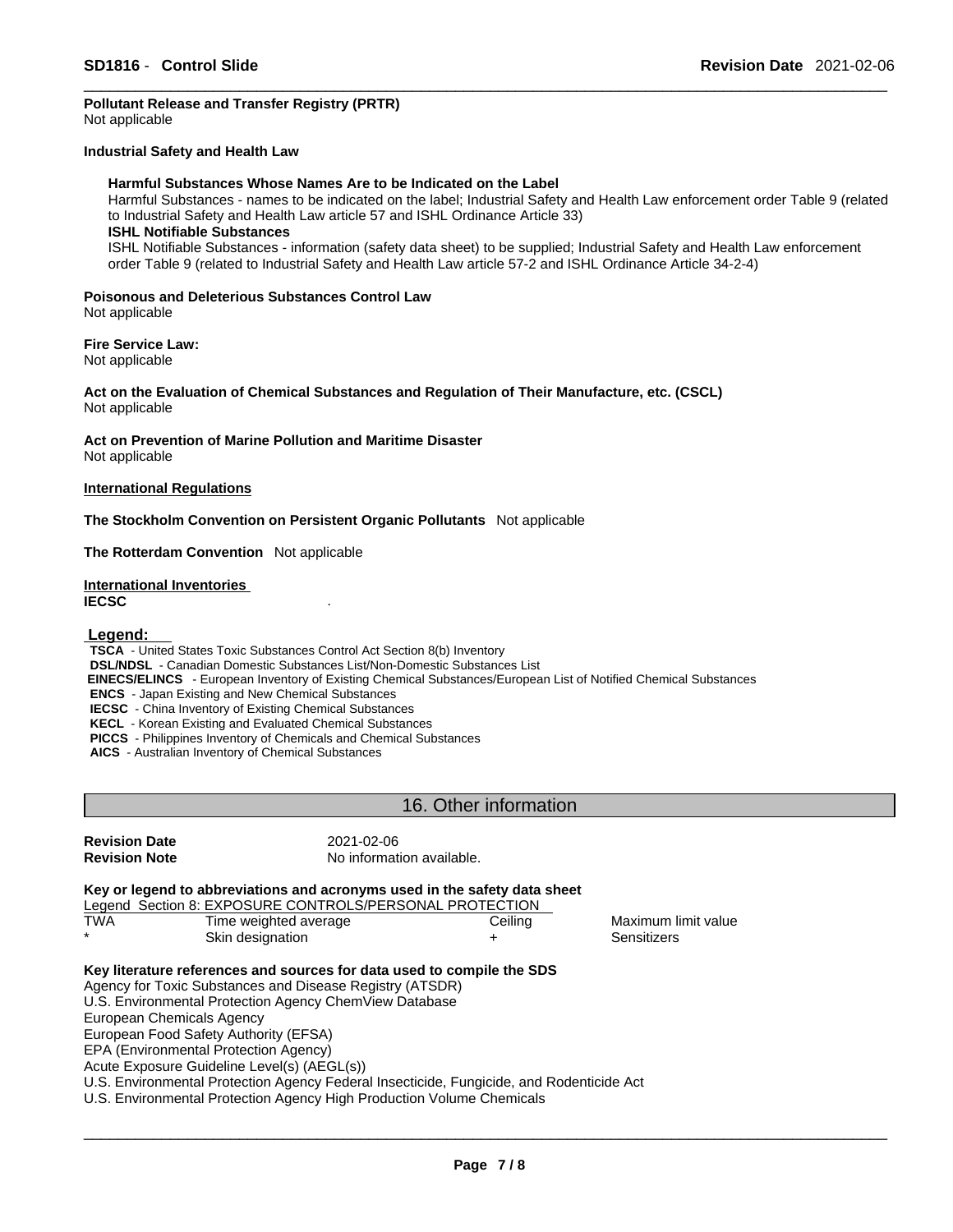# **Pollutant Release and Transfer Registry (PRTR)**

Not applicable

#### **Industrial Safety and Health Law**

#### **Harmful Substances Whose Names Are to be Indicated on the Label**

Harmful Substances - names to be indicated on the label; Industrial Safety and Health Law enforcement order Table 9 (related to Industrial Safety and Health Law article 57 and ISHL Ordinance Article 33)

### **ISHL Notifiable Substances**

ISHL Notifiable Substances - information (safety data sheet) to be supplied; Industrial Safety and Health Law enforcement order Table 9 (related to Industrial Safety and Health Law article 57-2 and ISHL Ordinance Article 34-2-4)

#### **Poisonous and Deleterious Substances Control Law** Not applicable

**Fire Service Law:**

Not applicable

**Act on the Evaluation of Chemical Substances and Regulation of Their Manufacture, etc. (CSCL)** Not applicable

**Act on Prevention of Marine Pollution and Maritime Disaster** Not applicable

#### **International Regulations**

**The Stockholm Convention on Persistent Organic Pollutants** Not applicable

**The Rotterdam Convention** Not applicable

#### **International Inventories IECSC** .

#### **Legend:**

**TSCA** - United States Toxic Substances Control Act Section 8(b) Inventory

**DSL/NDSL** - Canadian Domestic Substances List/Non-Domestic Substances List

 **EINECS/ELINCS** - European Inventory of Existing Chemical Substances/European List of Notified Chemical Substances

**ENCS** - Japan Existing and New Chemical Substances

**IECSC** - China Inventory of Existing Chemical Substances

**KECL** - Korean Existing and Evaluated Chemical Substances

**PICCS** - Philippines Inventory of Chemicals and Chemical Substances

**AICS** - Australian Inventory of Chemical Substances

# 16. Other information

| <b>Revision Date</b> |  |
|----------------------|--|
| <b>Revision Note</b> |  |

**Revision Date** 2021-02-06 **No information available.** 

#### **Key or legend to abbreviations and acronyms used in the safety data sheet**

|        | they of regents to display that one and donelly mo about in the callety waterchildren |     |  |
|--------|---------------------------------------------------------------------------------------|-----|--|
|        | Legend Section 8: EXPOSURE CONTROLS/PERSONAL PROTECTION                               |     |  |
| ______ |                                                                                       | --- |  |

| <b>TWA</b> | Ceiling<br>Time weighted average | Maximum limit value |
|------------|----------------------------------|---------------------|
|            | Skin designation                 | Sensitizers         |

#### **Key literature references and sources for data used to compile the SDS**

Agency for Toxic Substances and Disease Registry (ATSDR)

U.S. Environmental Protection Agency ChemView Database

European Chemicals Agency European Food Safety Authority (EFSA)

EPA (Environmental Protection Agency)

Acute Exposure Guideline Level(s) (AEGL(s))

U.S. Environmental Protection Agency Federal Insecticide, Fungicide, and Rodenticide Act

U.S. Environmental Protection Agency High Production Volume Chemicals